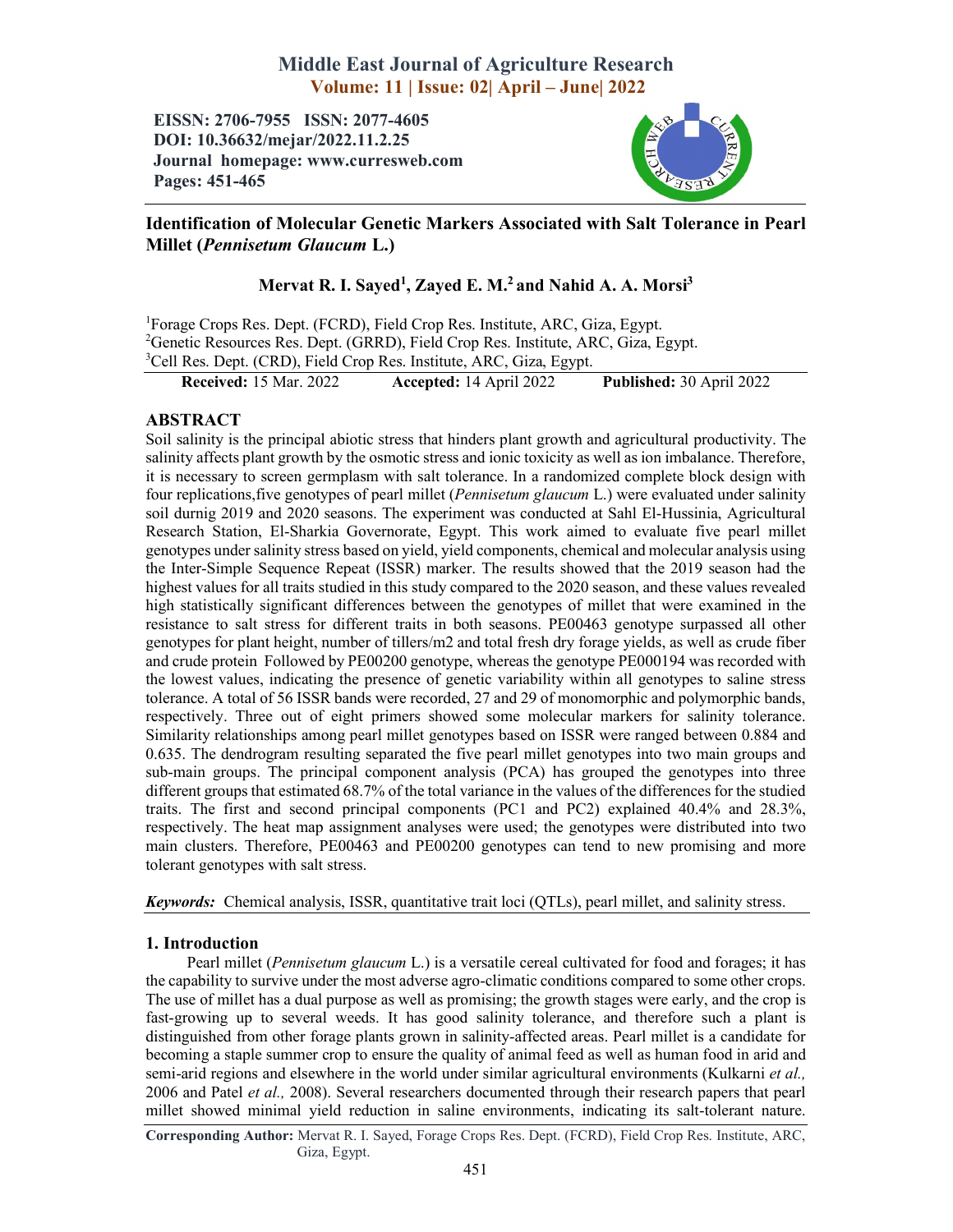# Middle East Journal of Agriculture Research Volume: 11 | Issue: 02| April – June| 2022

EISSN: 2706-7955 ISSN: 2077-4605 DOI: 10.36632/mejar/2022.11.2.25 Journal homepage: www.curresweb.com Pages: 451-465



## Identification of Molecular Genetic Markers Associated with Salt Tolerance in Pearl Millet (*Pennisetum Glaucum* L.)

# Mervat R. I. Sayed<sup>1</sup>, Zayed E. M.<sup>2</sup> and Nahid A. A. Morsi<sup>3</sup>

<sup>1</sup>Forage Crops Res. Dept. (FCRD), Field Crop Res. Institute, ARC, Giza, Egypt. <sup>2</sup>Genetic Resources Res. Dept. (GRRD), Field Crop Res. Institute, ARC, Giza, Egypt. <sup>3</sup>Cell Res. Dept. (CRD), Field Crop Res. Institute, ARC, Giza, Egypt.

Received: 15 Mar. 2022 Accepted: 14 April 2022 Published: 30 April 2022

## ABSTRACT

Soil salinity is the principal abiotic stress that hinders plant growth and agricultural productivity. The salinity affects plant growth by the osmotic stress and ionic toxicity as well as ion imbalance. Therefore, it is necessary to screen germplasm with salt tolerance. In a randomized complete block design with four replications,five genotypes of pearl millet (*Pennisetum glaucum* L.) were evaluated under salinity soil durnig 2019 and 2020 seasons. The experiment was conducted at Sahl El-Hussinia, Agricultural Research Station, El-Sharkia Governorate, Egypt. This work aimed to evaluate five pearl millet genotypes under salinity stress based on yield, yield components, chemical and molecular analysis using the Inter-Simple Sequence Repeat (ISSR) marker. The results showed that the 2019 season had the highest values for all traits studied in this study compared to the 2020 season, and these values revealed high statistically significant differences between the genotypes of millet that were examined in the resistance to salt stress for different traits in both seasons. PE00463 genotype surpassed all other genotypes for plant height, number of tillers/m2 and total fresh dry forage yields, as well as crude fiber and crude protein Followed by PE00200 genotype, whereas the genotype PE000194 was recorded with the lowest values, indicating the presence of genetic variability within all genotypes to saline stress tolerance. A total of 56 ISSR bands were recorded, 27 and 29 of monomorphic and polymorphic bands, respectively. Three out of eight primers showed some molecular markers for salinity tolerance. Similarity relationships among pearl millet genotypes based on ISSR were ranged between 0.884 and 0.635. The dendrogram resulting separated the five pearl millet genotypes into two main groups and sub-main groups. The principal component analysis (PCA) has grouped the genotypes into three different groups that estimated 68.7% of the total variance in the values of the differences for the studied traits. The first and second principal components (PC1 and PC2) explained 40.4% and 28.3%, respectively. The heat map assignment analyses were used; the genotypes were distributed into two main clusters. Therefore, PE00463 and PE00200 genotypes can tend to new promising and more tolerant genotypes with salt stress.

*Keywords:* Chemical analysis, ISSR, quantitative trait loci (QTLs), pearl millet, and salinity stress.

### 1. Introduction

Pearl millet (*Pennisetum glaucum* L.) is a versatile cereal cultivated for food and forages; it has the capability to survive under the most adverse agro-climatic conditions compared to some other crops. The use of millet has a dual purpose as well as promising; the growth stages were early, and the crop is fast-growing up to several weeds. It has good salinity tolerance, and therefore such a plant is distinguished from other forage plants grown in salinity-affected areas. Pearl millet is a candidate for becoming a staple summer crop to ensure the quality of animal feed as well as human food in arid and semi-arid regions and elsewhere in the world under similar agricultural environments (Kulkarni *et al.,* 2006 and Patel *et al.,* 2008). Several researchers documented through their research papers that pearl millet showed minimal yield reduction in saline environments, indicating its salt-tolerant nature.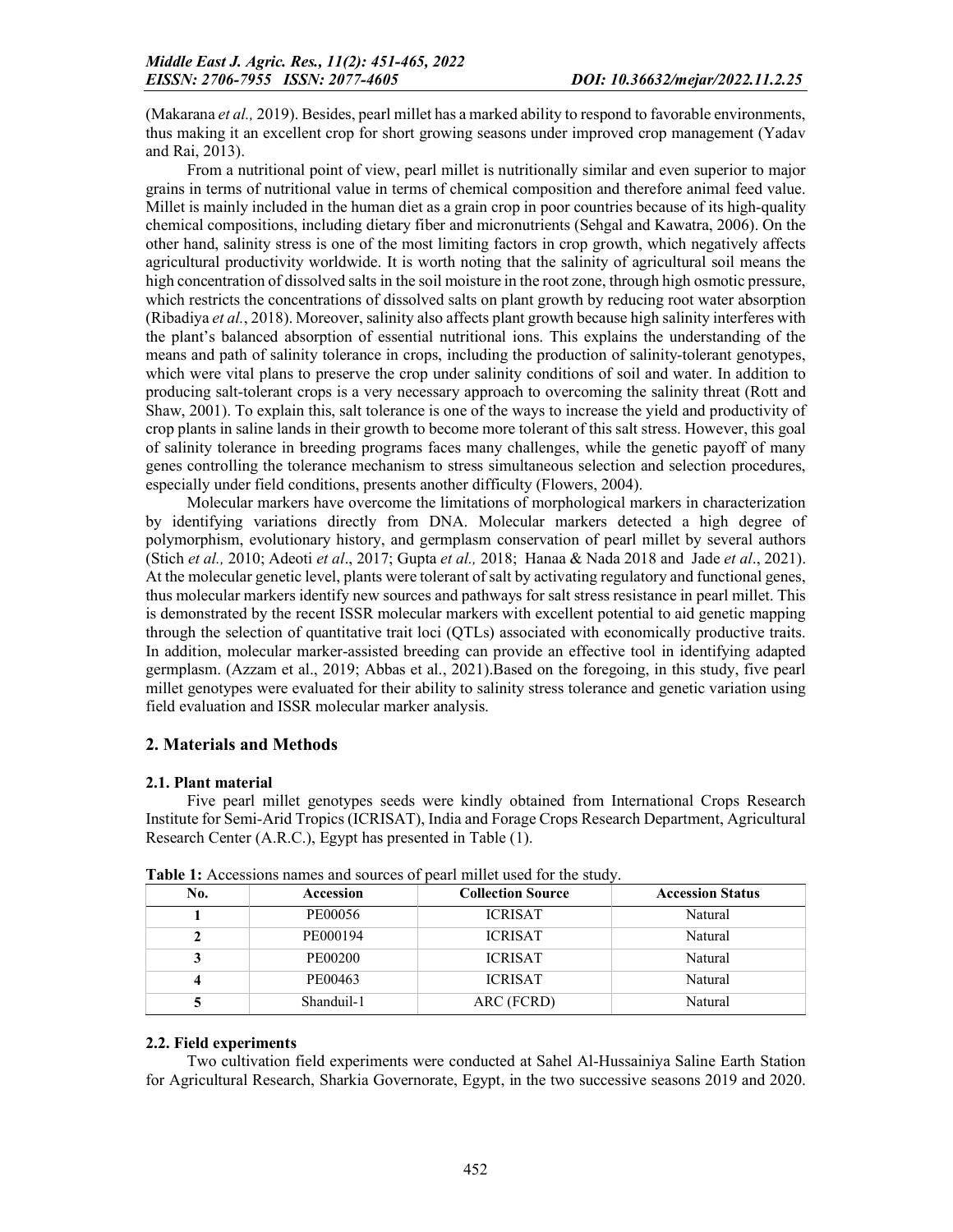(Makarana *et al.,* 2019). Besides, pearl millet has a marked ability to respond to favorable environments, thus making it an excellent crop for short growing seasons under improved crop management (Yadav and Rai, 2013).

From a nutritional point of view, pearl millet is nutritionally similar and even superior to major grains in terms of nutritional value in terms of chemical composition and therefore animal feed value. Millet is mainly included in the human diet as a grain crop in poor countries because of its high-quality chemical compositions, including dietary fiber and micronutrients (Sehgal and Kawatra, 2006). On the other hand, salinity stress is one of the most limiting factors in crop growth, which negatively affects agricultural productivity worldwide. It is worth noting that the salinity of agricultural soil means the high concentration of dissolved salts in the soil moisture in the root zone, through high osmotic pressure, which restricts the concentrations of dissolved salts on plant growth by reducing root water absorption (Ribadiya *et al.*, 2018). Moreover, salinity also affects plant growth because high salinity interferes with the plant's balanced absorption of essential nutritional ions. This explains the understanding of the means and path of salinity tolerance in crops, including the production of salinity-tolerant genotypes, which were vital plans to preserve the crop under salinity conditions of soil and water. In addition to producing salt-tolerant crops is a very necessary approach to overcoming the salinity threat (Rott and Shaw, 2001). To explain this, salt tolerance is one of the ways to increase the yield and productivity of crop plants in saline lands in their growth to become more tolerant of this salt stress. However, this goal of salinity tolerance in breeding programs faces many challenges, while the genetic payoff of many genes controlling the tolerance mechanism to stress simultaneous selection and selection procedures, especially under field conditions, presents another difficulty (Flowers, 2004).

Molecular markers have overcome the limitations of morphological markers in characterization by identifying variations directly from DNA. Molecular markers detected a high degree of polymorphism, evolutionary history, and germplasm conservation of pearl millet by several authors (Stich *et al.,* 2010; Adeoti *et al*., 2017; Gupta *et al.,* 2018; Hanaa & Nada 2018 and Jade *et al*., 2021). At the molecular genetic level, plants were tolerant of salt by activating regulatory and functional genes, thus molecular markers identify new sources and pathways for salt stress resistance in pearl millet. This is demonstrated by the recent ISSR molecular markers with excellent potential to aid genetic mapping through the selection of quantitative trait loci (QTLs) associated with economically productive traits. In addition, molecular marker-assisted breeding can provide an effective tool in identifying adapted germplasm. (Azzam et al., 2019; Abbas et al., 2021).Based on the foregoing, in this study, five pearl millet genotypes were evaluated for their ability to salinity stress tolerance and genetic variation using field evaluation and ISSR molecular marker analysis.

### 2. Materials and Methods

### 2.1. Plant material

Five pearl millet genotypes seeds were kindly obtained from International Crops Research Institute for Semi-Arid Tropics (ICRISAT), India and Forage Crops Research Department, Agricultural Research Center (A.R.C.), Egypt has presented in Table (1).

| No. | Accession  | <b>Collection Source</b> | <b>Accession Status</b> |
|-----|------------|--------------------------|-------------------------|
|     | PE00056    | <b>ICRISAT</b>           | Natural                 |
|     | PE000194   | <b>ICRISAT</b>           | Natural                 |
|     | PE00200    | <b>ICRISAT</b>           | Natural                 |
|     | PE00463    | <b>ICRISAT</b>           | Natural                 |
|     | Shanduil-1 | ARC (FCRD)               | Natural                 |

Table 1: Accessions names and sources of pearl millet used for the study.

### 2.2. Field experiments

Two cultivation field experiments were conducted at Sahel Al-Hussainiya Saline Earth Station for Agricultural Research, Sharkia Governorate, Egypt, in the two successive seasons 2019 and 2020.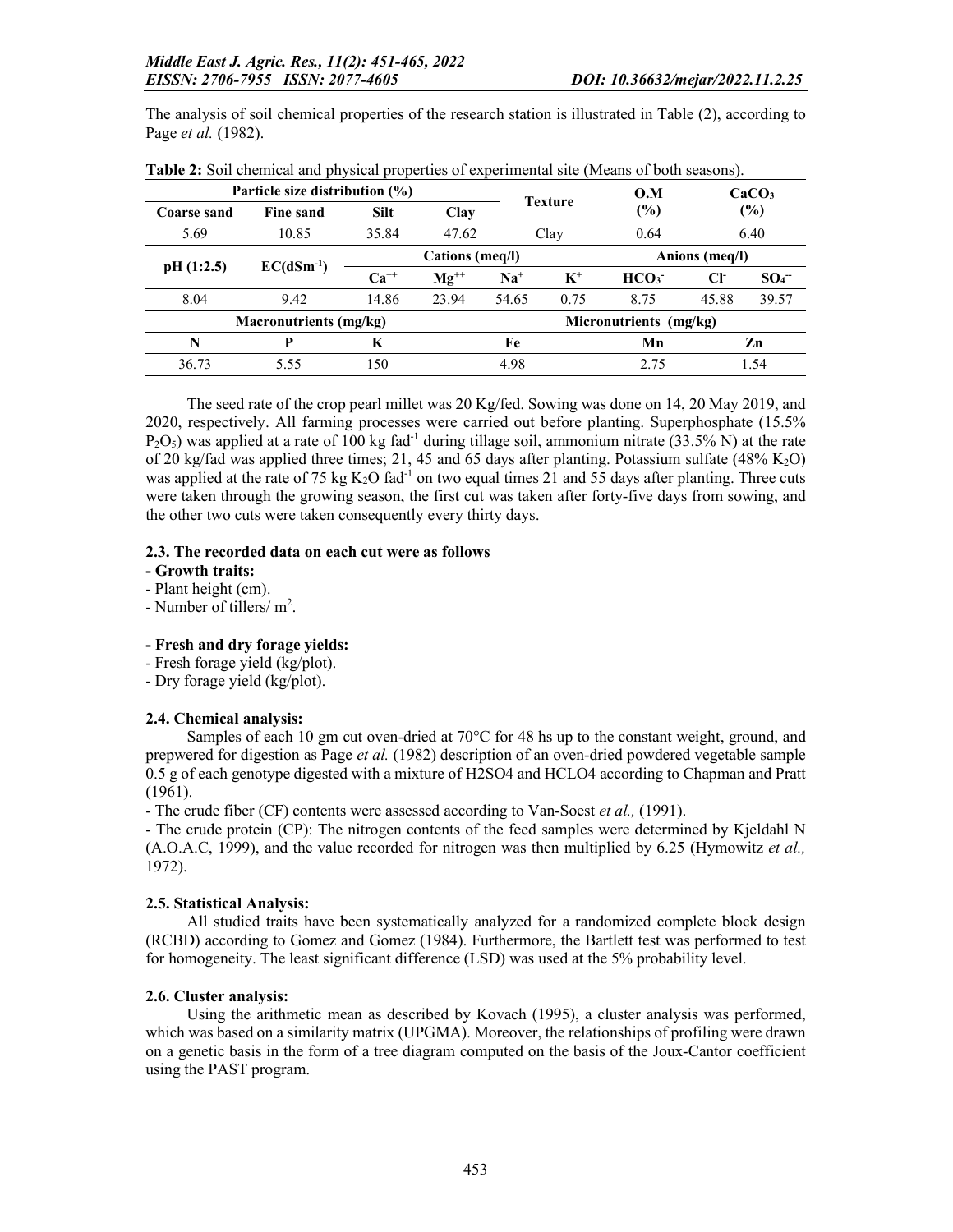The analysis of soil chemical properties of the research station is illustrated in Table (2), according to Page *et al.* (1982).

|                 | Particle size distribution $(\% )$ |             | <b>Texture</b> | 0.M                    |       | CaCO <sub>3</sub> |                |                 |  |
|-----------------|------------------------------------|-------------|----------------|------------------------|-------|-------------------|----------------|-----------------|--|
| Coarse sand     | <b>Fine sand</b>                   | <b>Silt</b> | Clay           |                        |       | (%)               |                | $(\%)$          |  |
| 5.69            | 10.85                              | 35.84       | 47.62          |                        | Clay  |                   |                | 6.40            |  |
| Cations (meq/l) |                                    |             |                |                        |       |                   | Anions (meq/l) |                 |  |
| pH(1:2.5)       | $EC(dSm^{-1})$                     | $Ca^{++}$   | $Mg^{++}$      | $Na+$                  | $K^+$ | HCO <sub>3</sub>  | CF             | SO <sub>4</sub> |  |
| 8.04            | 9.42                               | 14.86       | 23.94          | 54.65                  | 0.75  | 8.75              | 45.88          | 39.57           |  |
|                 | <b>Macronutrients (mg/kg)</b>      |             |                | Micronutrients (mg/kg) |       |                   |                |                 |  |
| N               | P                                  | K           |                | Fe                     |       | Mn                |                | Zn              |  |
| 36.73           | 5.55                               | 150         |                | 4.98                   |       | 2.75              | 1.54           |                 |  |

The seed rate of the crop pearl millet was 20 Kg/fed. Sowing was done on 14, 20 May 2019, and 2020, respectively. All farming processes were carried out before planting. Superphosphate (15.5%  $P_2O_5$ ) was applied at a rate of 100 kg fad<sup>-1</sup> during tillage soil, ammonium nitrate (33.5% N) at the rate of 20 kg/fad was applied three times; 21, 45 and 65 days after planting. Potassium sulfate  $(48\% \text{ K}_2\text{O})$ was applied at the rate of 75 kg  $K_2O$  fad<sup>-1</sup> on two equal times 21 and 55 days after planting. Three cuts were taken through the growing season, the first cut was taken after forty-five days from sowing, and the other two cuts were taken consequently every thirty days.

#### 2.3. The recorded data on each cut were as follows

- Growth traits:
- Plant height (cm).
- Number of tillers/ $m^2$ .

### - Fresh and dry forage yields:

- Fresh forage yield (kg/plot).
- Dry forage yield (kg/plot).

### 2.4. Chemical analysis:

Samples of each 10 gm cut oven-dried at 70°C for 48 hs up to the constant weight, ground, and prepwered for digestion as Page *et al.* (1982) description of an oven-dried powdered vegetable sample 0.5 g of each genotype digested with a mixture of H2SO4 and HCLO4 according to Chapman and Pratt (1961).

- The crude fiber (CF) contents were assessed according to Van-Soest *et al.,* (1991).

- The crude protein (CP): The nitrogen contents of the feed samples were determined by Kjeldahl N (A.O.A.C, 1999), and the value recorded for nitrogen was then multiplied by 6.25 (Hymowitz *et al.,* 1972).

### 2.5. Statistical Analysis:

All studied traits have been systematically analyzed for a randomized complete block design (RCBD) according to Gomez and Gomez (1984). Furthermore, the Bartlett test was performed to test for homogeneity. The least significant difference (LSD) was used at the 5% probability level.

### 2.6. Cluster analysis:

Using the arithmetic mean as described by Kovach (1995), a cluster analysis was performed, which was based on a similarity matrix (UPGMA). Moreover, the relationships of profiling were drawn on a genetic basis in the form of a tree diagram computed on the basis of the Joux-Cantor coefficient using the PAST program.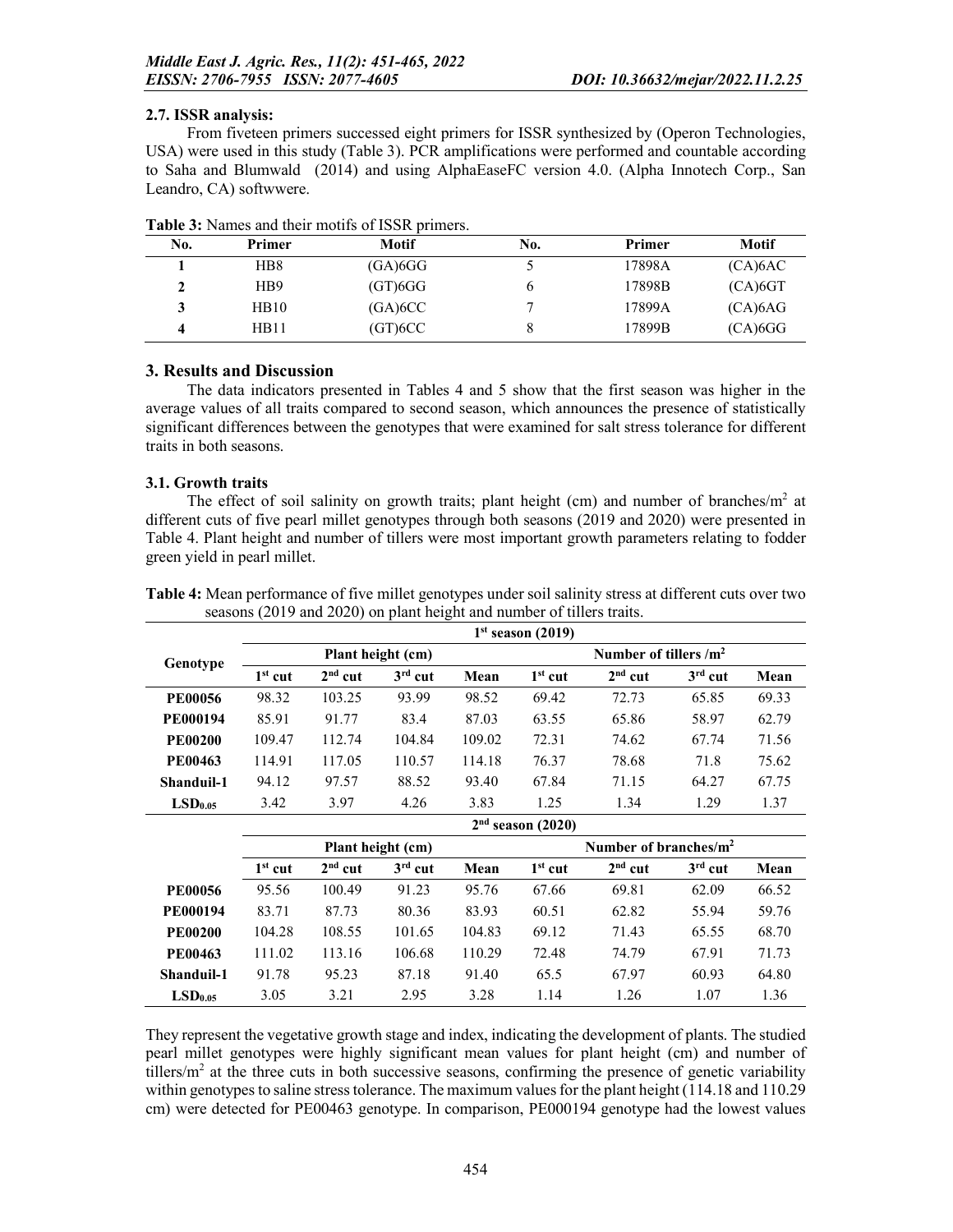### 2.7. ISSR analysis:

From fiveteen primers successed eight primers for ISSR synthesized by (Operon Technologies, USA) were used in this study (Table 3). PCR amplifications were performed and countable according to Saha and Blumwald (2014) and using AlphaEaseFC version 4.0. (Alpha Innotech Corp., San Leandro, CA) softwwere.

| Primer          | <b>Motif</b>            | No. | Primer | Motif      |
|-----------------|-------------------------|-----|--------|------------|
| HB8             | (GA) 6GG                |     | 17898A | (CA)6AC    |
| H <sub>B9</sub> | $(GT)$ <sub>6</sub> $G$ |     | 17898B | $(CA)$ 6GT |
| HB10            | (GA)6CC                 |     | 17899A | (CA)6AG    |
| HB11            | (GT)6CC                 |     | 17899B | $(CA)$ 6GG |
|                 |                         |     |        |            |

| Table 3: Names and their motifs of ISSR primers. |  |
|--------------------------------------------------|--|
|--------------------------------------------------|--|

### 3. Results and Discussion

The data indicators presented in Tables 4 and 5 show that the first season was higher in the average values of all traits compared to second season, which announces the presence of statistically significant differences between the genotypes that were examined for salt stress tolerance for different traits in both seasons.

### 3.1. Growth traits

The effect of soil salinity on growth traits; plant height (cm) and number of branches/ $m<sup>2</sup>$  at different cuts of five pearl millet genotypes through both seasons (2019 and 2020) were presented in Table 4. Plant height and number of tillers were most important growth parameters relating to fodder green yield in pearl millet.

|                     |           |           |                   |        | $1st$ season (2019)          |                           |           |       |  |  |
|---------------------|-----------|-----------|-------------------|--------|------------------------------|---------------------------|-----------|-------|--|--|
| Genotype            |           |           | Plant height (cm) |        | Number of tillers $\rm /m^2$ |                           |           |       |  |  |
|                     | $1st$ cut | $2nd$ cut | $3rd$ cut         | Mean   | $1st$ cut                    | $2nd$ cut                 | $3rd$ cut | Mean  |  |  |
| <b>PE00056</b>      | 98.32     | 103.25    | 93.99             | 98.52  | 69.42                        | 72.73                     | 65.85     | 69.33 |  |  |
| <b>PE000194</b>     | 85.91     | 91.77     | 83.4              | 87.03  | 63.55                        | 65.86                     | 58.97     | 62.79 |  |  |
| <b>PE00200</b>      | 109.47    | 112.74    | 104.84            | 109.02 | 72.31                        | 74.62                     | 67.74     | 71.56 |  |  |
| <b>PE00463</b>      | 114.91    | 117.05    | 110.57            | 114.18 | 76.37                        | 78.68                     | 71.8      | 75.62 |  |  |
| Shanduil-1          | 94.12     | 97.57     | 88.52             | 93.40  | 67.84                        | 71.15                     | 64.27     | 67.75 |  |  |
| LSD <sub>0.05</sub> | 3.42      | 3.97      | 4.26              | 3.83   | 1.25                         | 1.34                      | 1.29      | 1.37  |  |  |
|                     |           |           |                   |        | $2nd$ season (2020)          |                           |           |       |  |  |
|                     |           |           | Plant height (cm) |        |                              | Number of branches/ $m^2$ |           |       |  |  |
|                     | $1st$ cut | $2nd$ cut | $3rd$ cut         | Mean   | $1st$ cut                    | $2nd$ cut                 | $3rd$ cut | Mean  |  |  |
| <b>PE00056</b>      | 95.56     | 100.49    | 91.23             | 95.76  | 67.66                        | 69.81                     | 62.09     | 66.52 |  |  |
| <b>PE000194</b>     | 83.71     | 87.73     | 80.36             | 83.93  | 60.51                        | 62.82                     | 55.94     | 59.76 |  |  |
| <b>PE00200</b>      | 104.28    | 108.55    | 101.65            | 104.83 | 69.12                        | 71.43                     | 65.55     | 68.70 |  |  |
| <b>PE00463</b>      | 111.02    | 113.16    | 106.68            | 110.29 | 72.48                        | 74.79                     | 67.91     | 71.73 |  |  |
| Shanduil-1          | 91.78     | 95.23     | 87.18             | 91.40  | 65.5                         | 67.97                     | 60.93     | 64.80 |  |  |
|                     |           |           |                   |        |                              |                           |           |       |  |  |

Table 4: Mean performance of five millet genotypes under soil salinity stress at different cuts over two seasons (2019 and 2020) on plant height and number of tillers traits.

They represent the vegetative growth stage and index, indicating the development of plants. The studied pearl millet genotypes were highly significant mean values for plant height (cm) and number of tillers/ $m<sup>2</sup>$  at the three cuts in both successive seasons, confirming the presence of genetic variability within genotypes to saline stress tolerance. The maximum values for the plant height (114.18 and 110.29 cm) were detected for PE00463 genotype. In comparison, PE000194 genotype had the lowest values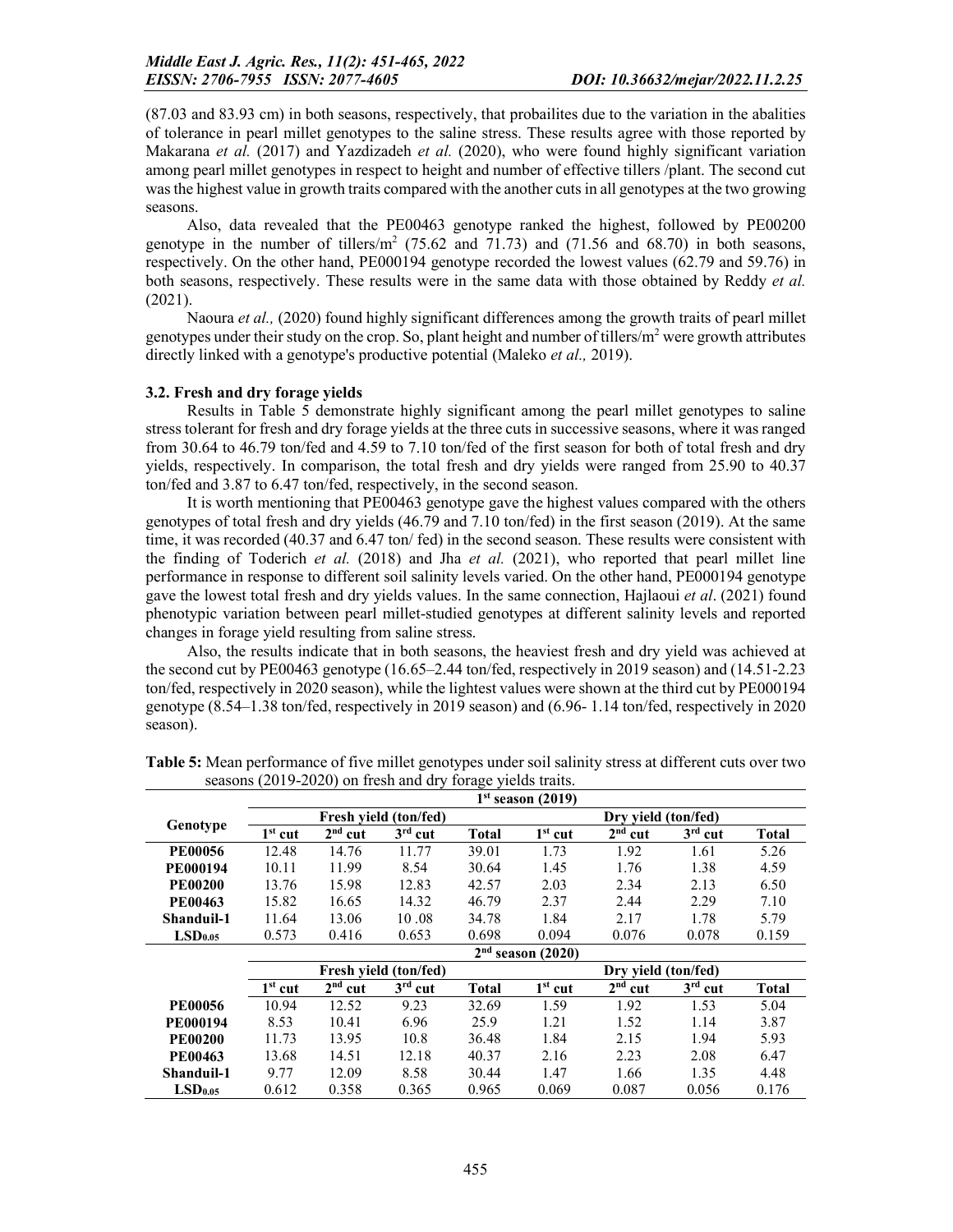(87.03 and 83.93 cm) in both seasons, respectively, that probailites due to the variation in the abalities of tolerance in pearl millet genotypes to the saline stress. These results agree with those reported by Makarana *et al.* (2017) and Yazdizadeh *et al.* (2020), who were found highly significant variation among pearl millet genotypes in respect to height and number of effective tillers /plant. The second cut was the highest value in growth traits compared with the another cuts in all genotypes at the two growing seasons.

Also, data revealed that the PE00463 genotype ranked the highest, followed by PE00200 genotype in the number of tillers/ $m<sup>2</sup>$  (75.62 and 71.73) and (71.56 and 68.70) in both seasons, respectively. On the other hand, PE000194 genotype recorded the lowest values (62.79 and 59.76) in both seasons, respectively. These results were in the same data with those obtained by Reddy *et al.* (2021).

Naoura *et al.,* (2020) found highly significant differences among the growth traits of pearl millet genotypes under their study on the crop. So, plant height and number of tillers/ $m<sup>2</sup>$  were growth attributes directly linked with a genotype's productive potential (Maleko *et al.,* 2019).

#### 3.2. Fresh and dry forage yields

Results in Table 5 demonstrate highly significant among the pearl millet genotypes to saline stress tolerant for fresh and dry forage yields at the three cuts in successive seasons, where it was ranged from 30.64 to 46.79 ton/fed and 4.59 to 7.10 ton/fed of the first season for both of total fresh and dry yields, respectively. In comparison, the total fresh and dry yields were ranged from 25.90 to 40.37 ton/fed and 3.87 to 6.47 ton/fed, respectively, in the second season.

It is worth mentioning that PE00463 genotype gave the highest values compared with the others genotypes of total fresh and dry yields (46.79 and 7.10 ton/fed) in the first season (2019). At the same time, it was recorded (40.37 and 6.47 ton/ fed) in the second season. These results were consistent with the finding of Toderich *et al.* (2018) and Jha *et al.* (2021), who reported that pearl millet line performance in response to different soil salinity levels varied. On the other hand, PE000194 genotype gave the lowest total fresh and dry yields values. In the same connection, Hajlaoui *et al*. (2021) found phenotypic variation between pearl millet-studied genotypes at different salinity levels and reported changes in forage yield resulting from saline stress.

Also, the results indicate that in both seasons, the heaviest fresh and dry yield was achieved at the second cut by PE00463 genotype (16.65–2.44 ton/fed, respectively in 2019 season) and (14.51-2.23 ton/fed, respectively in 2020 season), while the lightest values were shown at the third cut by PE000194 genotype (8.54–1.38 ton/fed, respectively in 2019 season) and (6.96- 1.14 ton/fed, respectively in 2020 season).

|                     |           |           | Fresh vield (ton/fed) |              | Dry vield (ton/fed) |                     |           |              |  |
|---------------------|-----------|-----------|-----------------------|--------------|---------------------|---------------------|-----------|--------------|--|
| Genotype            | $1st$ cut | $2nd$ cut | $3rd$ cut             | <b>Total</b> | $1st$ cut           | $2nd$ cut           | $3rd$ cut | <b>Total</b> |  |
| <b>PE00056</b>      | 12.48     | 14.76     | 11.77                 | 39.01        | 1.73                | 1.92                | 1.61      | 5.26         |  |
| <b>PE000194</b>     | 10.11     | 11.99     | 8.54                  | 30.64        | 1.45                | 1.76                | 1.38      | 4.59         |  |
| <b>PE00200</b>      | 13.76     | 15.98     | 12.83                 | 42.57        | 2.03                | 2.34                | 2.13      | 6.50         |  |
| <b>PE00463</b>      | 15.82     | 16.65     | 14.32                 | 46.79        | 2.37                | 2.44                | 2.29      | 7.10         |  |
| Shanduil-1          | 11.64     | 13.06     | 10.08                 | 34.78        | 1.84                | 2.17                | 1.78      | 5.79         |  |
| LSD <sub>0.05</sub> | 0.573     | 0.416     | 0.653                 | 0.698        | 0.094               | 0.076               | 0.078     | 0.159        |  |
|                     |           |           |                       |              | $2nd$ season (2020) |                     |           |              |  |
|                     |           |           | Fresh vield (ton/fed) |              |                     | Dry yield (ton/fed) |           |              |  |
|                     | $1st$ cut | $2nd$ cut | $3rd$ cut             | <b>Total</b> | $1st$ cut           | $2nd$ cut           | $3rd$ cut | <b>Total</b> |  |
| <b>PE00056</b>      | 10.94     | 12.52     | 9.23                  | 32.69        | 1.59                | 1.92                | 1.53      | 5.04         |  |
| <b>PE000194</b>     | 8.53      | 10.41     | 6.96                  | 25.9         | 1.21                | 1.52                | 1.14      | 3.87         |  |
| <b>PE00200</b>      | 11.73     | 13.95     | 10.8                  | 36.48        | 1.84                | 2.15                | 1.94      | 5.93         |  |
| <b>PE00463</b>      | 13.68     | 14.51     | 12.18                 | 40.37        | 2.16                | 2.23                | 2.08      | 6.47         |  |
| <b>Shanduil-1</b>   | 9.77      | 12.09     | 8.58                  | 30.44        | 1.47                | 1.66                | 1.35      | 4.48         |  |
| LSD <sub>0.05</sub> | 0.612     | 0.358     | 0.365                 | 0.965        | 0.069               | 0.087               | 0.056     | 0.176        |  |

Table 5: Mean performance of five millet genotypes under soil salinity stress at different cuts over two seasons (2019-2020) on fresh and dry forage yields traits.  $1<sup>st</sup>$  season (2019)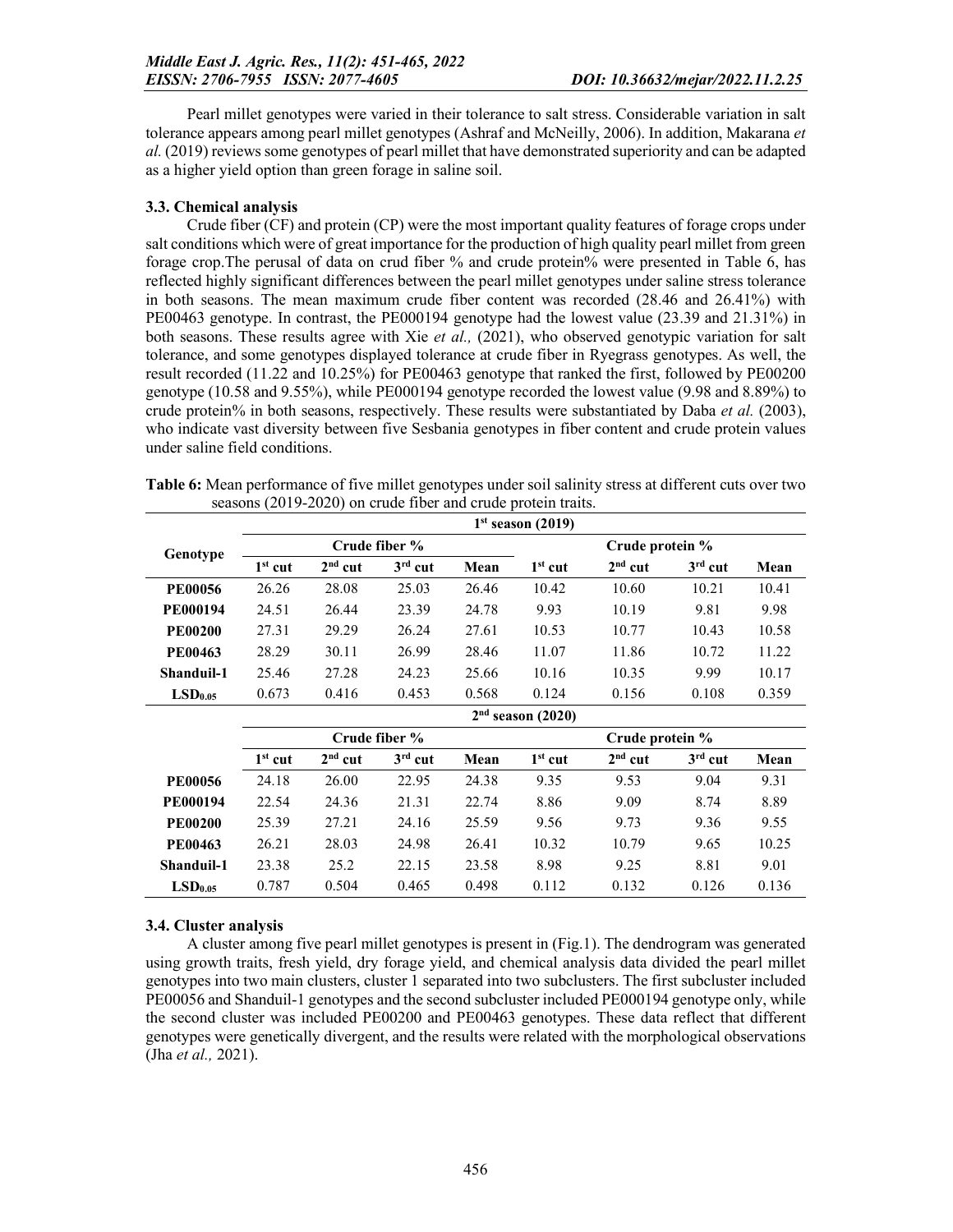Pearl millet genotypes were varied in their tolerance to salt stress. Considerable variation in salt tolerance appears among pearl millet genotypes (Ashraf and McNeilly, 2006). In addition, Makarana *et al.* (2019) reviews some genotypes of pearl millet that have demonstrated superiority and can be adapted as a higher yield option than green forage in saline soil.

### 3.3. Chemical analysis

Crude fiber (CF) and protein (CP) were the most important quality features of forage crops under salt conditions which were of great importance for the production of high quality pearl millet from green forage crop.The perusal of data on crud fiber % and crude protein% were presented in Table 6, has reflected highly significant differences between the pearl millet genotypes under saline stress tolerance in both seasons. The mean maximum crude fiber content was recorded (28.46 and 26.41%) with PE00463 genotype. In contrast, the PE000194 genotype had the lowest value (23.39 and 21.31%) in both seasons. These results agree with Xie *et al.,* (2021), who observed genotypic variation for salt tolerance, and some genotypes displayed tolerance at crude fiber in Ryegrass genotypes. As well, the result recorded (11.22 and 10.25%) for PE00463 genotype that ranked the first, followed by PE00200 genotype (10.58 and 9.55%), while PE000194 genotype recorded the lowest value (9.98 and 8.89%) to crude protein% in both seasons, respectively. These results were substantiated by Daba *et al.* (2003), who indicate vast diversity between five Sesbania genotypes in fiber content and crude protein values under saline field conditions.

| Table 6: Mean performance of five millet genotypes under soil salinity stress at different cuts over two |  |
|----------------------------------------------------------------------------------------------------------|--|
| seasons (2019-2020) on crude fiber and crude protein traits.                                             |  |

|                     |           |           |               |       | $1st$ season (2019) |                 |           |       |  |  |
|---------------------|-----------|-----------|---------------|-------|---------------------|-----------------|-----------|-------|--|--|
|                     |           |           | Crude fiber % |       |                     | Crude protein % |           |       |  |  |
| Genotype            | $1st$ cut | $2nd$ cut | $3rd$ cut     | Mean  | $1st$ cut           | $2nd$ cut       | $3rd$ cut | Mean  |  |  |
| <b>PE00056</b>      | 26.26     | 28.08     | 25.03         | 26.46 | 10.42               | 10.60           | 10.21     | 10.41 |  |  |
| <b>PE000194</b>     | 24.51     | 26.44     | 23.39         | 24.78 | 9.93                | 10.19           | 9.81      | 9.98  |  |  |
| <b>PE00200</b>      | 27.31     | 29.29     | 26.24         | 27.61 | 10.53               | 10.77           | 10.43     | 10.58 |  |  |
| <b>PE00463</b>      | 28.29     | 30.11     | 26.99         | 28.46 | 11.07               | 11.86           | 10.72     | 11.22 |  |  |
| Shanduil-1          | 25.46     | 27.28     | 24.23         | 25.66 | 10.16               | 10.35           | 9.99      | 10.17 |  |  |
| LSD <sub>0.05</sub> | 0.673     | 0.416     | 0.453         | 0.568 | 0.124               | 0.156           | 0.108     | 0.359 |  |  |
|                     |           |           |               |       | $2nd$ season (2020) |                 |           |       |  |  |
|                     |           |           | Crude fiber % |       |                     | Crude protein % |           |       |  |  |
|                     | $1st$ cut | $2nd$ cut | $3rd$ cut     | Mean  | $1st$ cut           | $2nd$ cut       | $3rd$ cut | Mean  |  |  |
| <b>PE00056</b>      | 24.18     | 26.00     | 22.95         | 24.38 | 9.35                | 9.53            | 9.04      | 9.31  |  |  |
| <b>PE000194</b>     | 22.54     | 24.36     | 21.31         | 22.74 | 8.86                | 9.09            | 8.74      | 8.89  |  |  |
| <b>PE00200</b>      | 25.39     | 27.21     | 24.16         | 25.59 | 9.56                | 9.73            | 9.36      | 9.55  |  |  |
| <b>PE00463</b>      | 26.21     | 28.03     | 24.98         | 26.41 | 10.32               | 10.79           | 9.65      | 10.25 |  |  |
|                     |           |           |               |       |                     |                 |           |       |  |  |
| Shanduil-1          | 23.38     | 25.2      | 22.15         | 23.58 | 8.98                | 9.25            | 8.81      | 9.01  |  |  |

### 3.4. Cluster analysis

A cluster among five pearl millet genotypes is present in (Fig.1). The dendrogram was generated using growth traits, fresh yield, dry forage yield, and chemical analysis data divided the pearl millet genotypes into two main clusters, cluster 1 separated into two subclusters. The first subcluster included PE00056 and Shanduil-1 genotypes and the second subcluster included PE000194 genotype only, while the second cluster was included PE00200 and PE00463 genotypes. These data reflect that different genotypes were genetically divergent, and the results were related with the morphological observations (Jha *et al.,* 2021).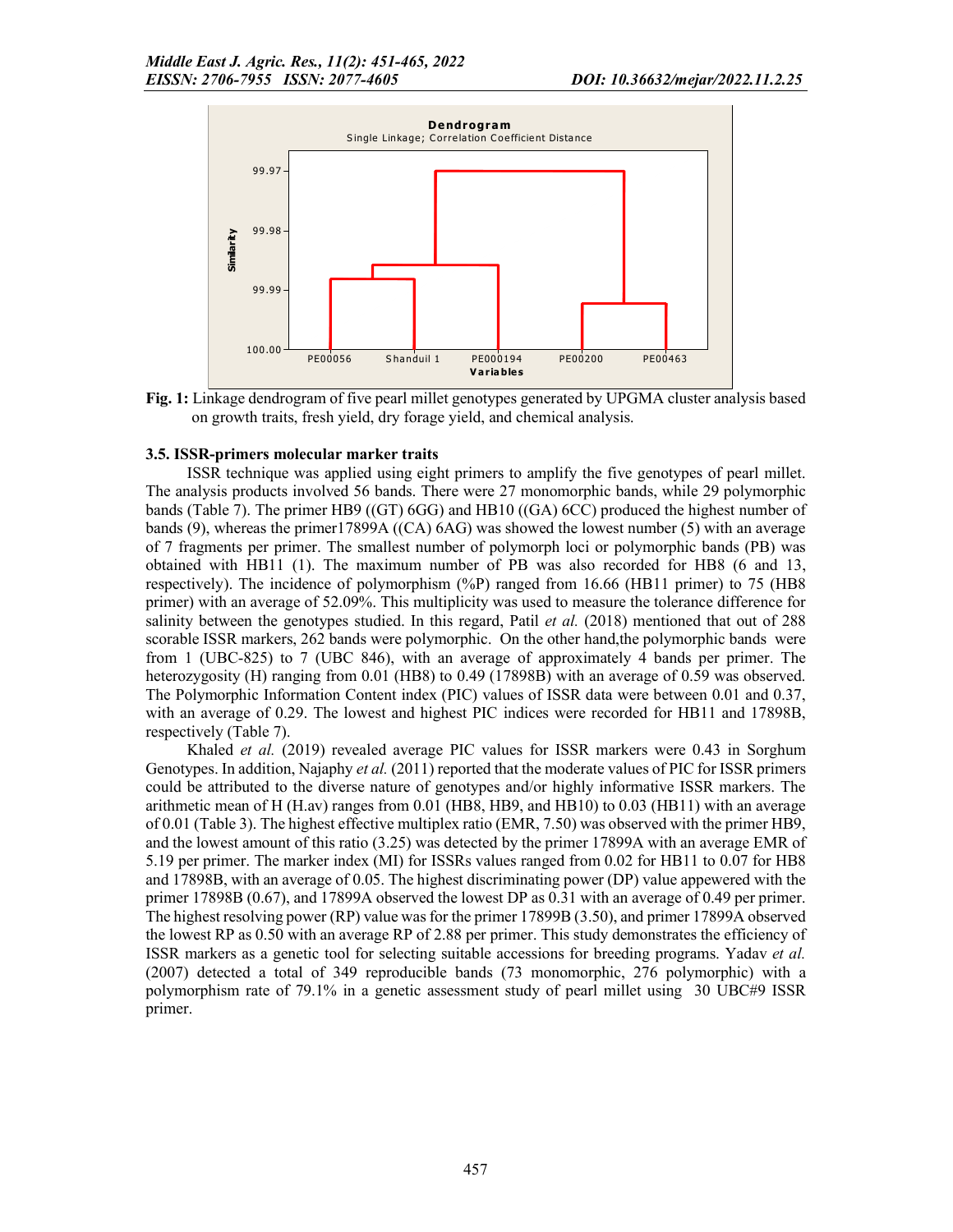

Fig. 1: Linkage dendrogram of five pearl millet genotypes generated by UPGMA cluster analysis based on growth traits, fresh yield, dry forage yield, and chemical analysis.

### 3.5. ISSR-primers molecular marker traits

ISSR technique was applied using eight primers to amplify the five genotypes of pearl millet. The analysis products involved 56 bands. There were 27 monomorphic bands, while 29 polymorphic bands (Table 7). The primer HB9 ((GT) 6GG) and HB10 ((GA) 6CC) produced the highest number of bands (9), whereas the primer17899A ((CA) 6AG) was showed the lowest number (5) with an average of 7 fragments per primer. The smallest number of polymorph loci or polymorphic bands (PB) was obtained with HB11 (1). The maximum number of PB was also recorded for HB8 (6 and 13, respectively). The incidence of polymorphism (%P) ranged from 16.66 (HB11 primer) to 75 (HB8 primer) with an average of 52.09%. This multiplicity was used to measure the tolerance difference for salinity between the genotypes studied. In this regard, Patil *et al.* (2018) mentioned that out of 288 scorable ISSR markers, 262 bands were polymorphic. On the other hand,the polymorphic bands were from 1 (UBC-825) to 7 (UBC 846), with an average of approximately 4 bands per primer. The heterozygosity (H) ranging from 0.01 (HB8) to 0.49 (17898B) with an average of 0.59 was observed. The Polymorphic Information Content index (PIC) values of ISSR data were between 0.01 and 0.37, with an average of 0.29. The lowest and highest PIC indices were recorded for HB11 and 17898B, respectively (Table 7).

Khaled *et al.* (2019) revealed average PIC values for ISSR markers were 0.43 in Sorghum Genotypes. In addition, Najaphy *et al.* (2011) reported that the moderate values of PIC for ISSR primers could be attributed to the diverse nature of genotypes and/or highly informative ISSR markers. The arithmetic mean of H (H.av) ranges from 0.01 (HB8, HB9, and HB10) to 0.03 (HB11) with an average of 0.01 (Table 3). The highest effective multiplex ratio (EMR, 7.50) was observed with the primer HB9, and the lowest amount of this ratio (3.25) was detected by the primer 17899A with an average EMR of 5.19 per primer. The marker index (MI) for ISSRs values ranged from 0.02 for HB11 to 0.07 for HB8 and 17898B, with an average of 0.05. The highest discriminating power (DP) value appewered with the primer 17898B (0.67), and 17899A observed the lowest DP as 0.31 with an average of 0.49 per primer. The highest resolving power (RP) value was for the primer 17899B (3.50), and primer 17899A observed the lowest RP as 0.50 with an average RP of 2.88 per primer. This study demonstrates the efficiency of ISSR markers as a genetic tool for selecting suitable accessions for breeding programs. Yadav *et al.* (2007) detected a total of 349 reproducible bands (73 monomorphic, 276 polymorphic) with a polymorphism rate of 79.1% in a genetic assessment study of pearl millet using 30 UBC#9 ISSR primer.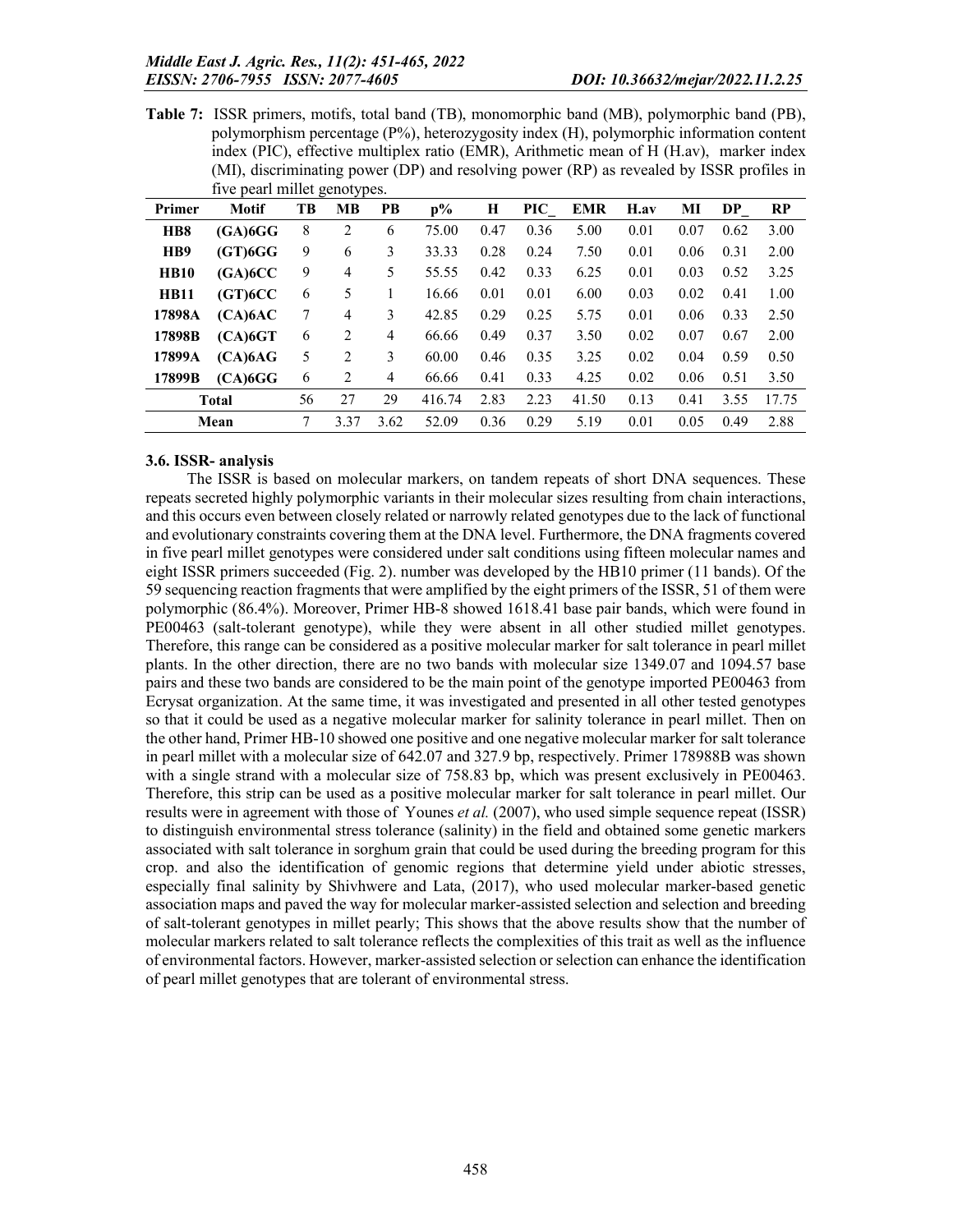Table 7: ISSR primers, motifs, total band (TB), monomorphic band (MB), polymorphic band (PB), polymorphism percentage (P%), heterozygosity index (H), polymorphic information content index (PIC), effective multiplex ratio (EMR), Arithmetic mean of H (H.av), marker index (MI), discriminating power (DP) and resolving power (RP) as revealed by ISSR profiles in five pearl millet genotypes.

|                             |                         | $\circ$ | — ∙уг     |                |                |      |      |            |      |      |      |       |
|-----------------------------|-------------------------|---------|-----------|----------------|----------------|------|------|------------|------|------|------|-------|
| Primer                      | <b>Motif</b>            | TB      | <b>MB</b> | PB             | $\mathbf{p}$ % | H    | PIC  | <b>EMR</b> | H.av | MI   | DP   | RP    |
| H <sub>B</sub> <sup>8</sup> | $(GA)$ <sub>6</sub> $G$ | 8       | 2         | 6              | 75.00          | 0.47 | 0.36 | 5.00       | 0.01 | 0.07 | 0.62 | 3.00  |
| H <sub>B9</sub>             | $(GT)$ <sub>6</sub> $G$ | 9       | 6         | 3              | 33.33          | 0.28 | 0.24 | 7.50       | 0.01 | 0.06 | 0.31 | 2.00  |
| <b>HB10</b>                 | (GA)6CC                 | 9       | 4         | 5              | 55.55          | 0.42 | 0.33 | 6.25       | 0.01 | 0.03 | 0.52 | 3.25  |
| <b>HB11</b>                 | (GT)6CC                 | 6       | 5         |                | 16.66          | 0.01 | 0.01 | 6.00       | 0.03 | 0.02 | 0.41 | 1.00  |
| 17898A                      | (CA)6AC                 | 7       | 4         | 3              | 42.85          | 0.29 | 0.25 | 5.75       | 0.01 | 0.06 | 0.33 | 2.50  |
| 17898B                      | (CA) 6GT                | 6       | 2         | 4              | 66.66          | 0.49 | 0.37 | 3.50       | 0.02 | 0.07 | 0.67 | 2.00  |
| 17899A                      | (CA)6AG                 | 5       | 2         | 3              | 60.00          | 0.46 | 0.35 | 3.25       | 0.02 | 0.04 | 0.59 | 0.50  |
| 17899B                      | $(CA)$ <sub>6</sub> $G$ | 6       | 2         | $\overline{4}$ | 66.66          | 0.41 | 0.33 | 4.25       | 0.02 | 0.06 | 0.51 | 3.50  |
|                             | <b>Total</b>            | 56      | 27        | 29             | 416.74         | 2.83 | 2.23 | 41.50      | 0.13 | 0.41 | 3.55 | 17.75 |
|                             | Mean                    | 7       | 3.37      | 3.62           | 52.09          | 0.36 | 0.29 | 5.19       | 0.01 | 0.05 | 0.49 | 2.88  |

### 3.6. ISSR- analysis

The ISSR is based on molecular markers, on tandem repeats of short DNA sequences. These repeats secreted highly polymorphic variants in their molecular sizes resulting from chain interactions, and this occurs even between closely related or narrowly related genotypes due to the lack of functional and evolutionary constraints covering them at the DNA level. Furthermore, the DNA fragments covered in five pearl millet genotypes were considered under salt conditions using fifteen molecular names and eight ISSR primers succeeded (Fig. 2). number was developed by the HB10 primer (11 bands). Of the 59 sequencing reaction fragments that were amplified by the eight primers of the ISSR, 51 of them were polymorphic (86.4%). Moreover, Primer HB-8 showed 1618.41 base pair bands, which were found in PE00463 (salt-tolerant genotype), while they were absent in all other studied millet genotypes. Therefore, this range can be considered as a positive molecular marker for salt tolerance in pearl millet plants. In the other direction, there are no two bands with molecular size 1349.07 and 1094.57 base pairs and these two bands are considered to be the main point of the genotype imported PE00463 from Ecrysat organization. At the same time, it was investigated and presented in all other tested genotypes so that it could be used as a negative molecular marker for salinity tolerance in pearl millet. Then on the other hand, Primer HB-10 showed one positive and one negative molecular marker for salt tolerance in pearl millet with a molecular size of 642.07 and 327.9 bp, respectively. Primer 178988B was shown with a single strand with a molecular size of 758.83 bp, which was present exclusively in PE00463. Therefore, this strip can be used as a positive molecular marker for salt tolerance in pearl millet. Our results were in agreement with those of Younes *et al.* (2007), who used simple sequence repeat (ISSR) to distinguish environmental stress tolerance (salinity) in the field and obtained some genetic markers associated with salt tolerance in sorghum grain that could be used during the breeding program for this crop. and also the identification of genomic regions that determine yield under abiotic stresses, especially final salinity by Shivhwere and Lata, (2017), who used molecular marker-based genetic association maps and paved the way for molecular marker-assisted selection and selection and breeding of salt-tolerant genotypes in millet pearly; This shows that the above results show that the number of molecular markers related to salt tolerance reflects the complexities of this trait as well as the influence of environmental factors. However, marker-assisted selection or selection can enhance the identification of pearl millet genotypes that are tolerant of environmental stress.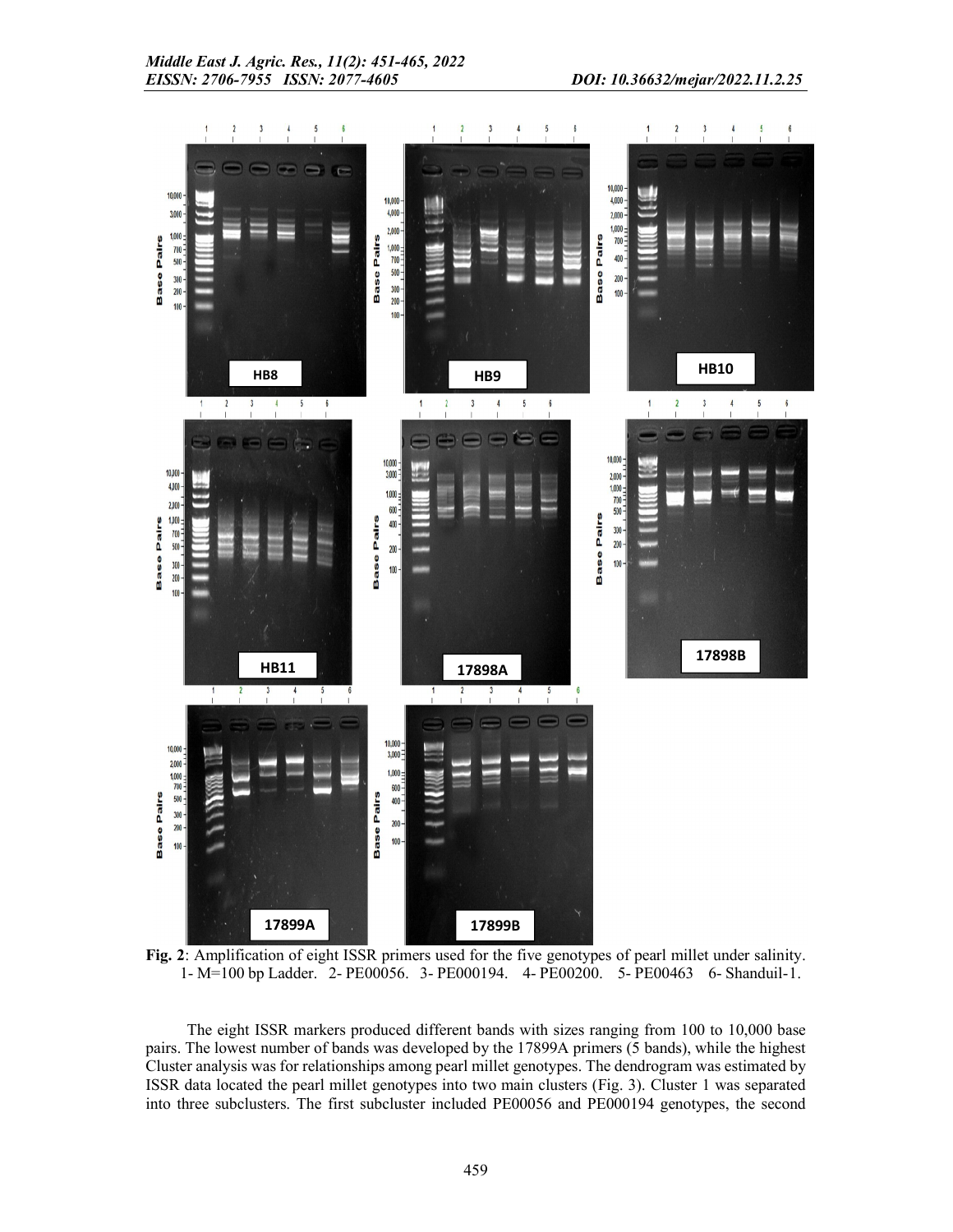

Fig. 2: Amplification of eight ISSR primers used for the five genotypes of pearl millet under salinity. 1- M=100 bp Ladder. 2- PE00056. 3- PE000194. 4- PE00200. 5- PE00463 6- Shanduil-1.

The eight ISSR markers produced different bands with sizes ranging from 100 to 10,000 base pairs. The lowest number of bands was developed by the 17899A primers (5 bands), while the highest Cluster analysis was for relationships among pearl millet genotypes. The dendrogram was estimated by ISSR data located the pearl millet genotypes into two main clusters (Fig. 3). Cluster 1 was separated into three subclusters. The first subcluster included PE00056 and PE000194 genotypes, the second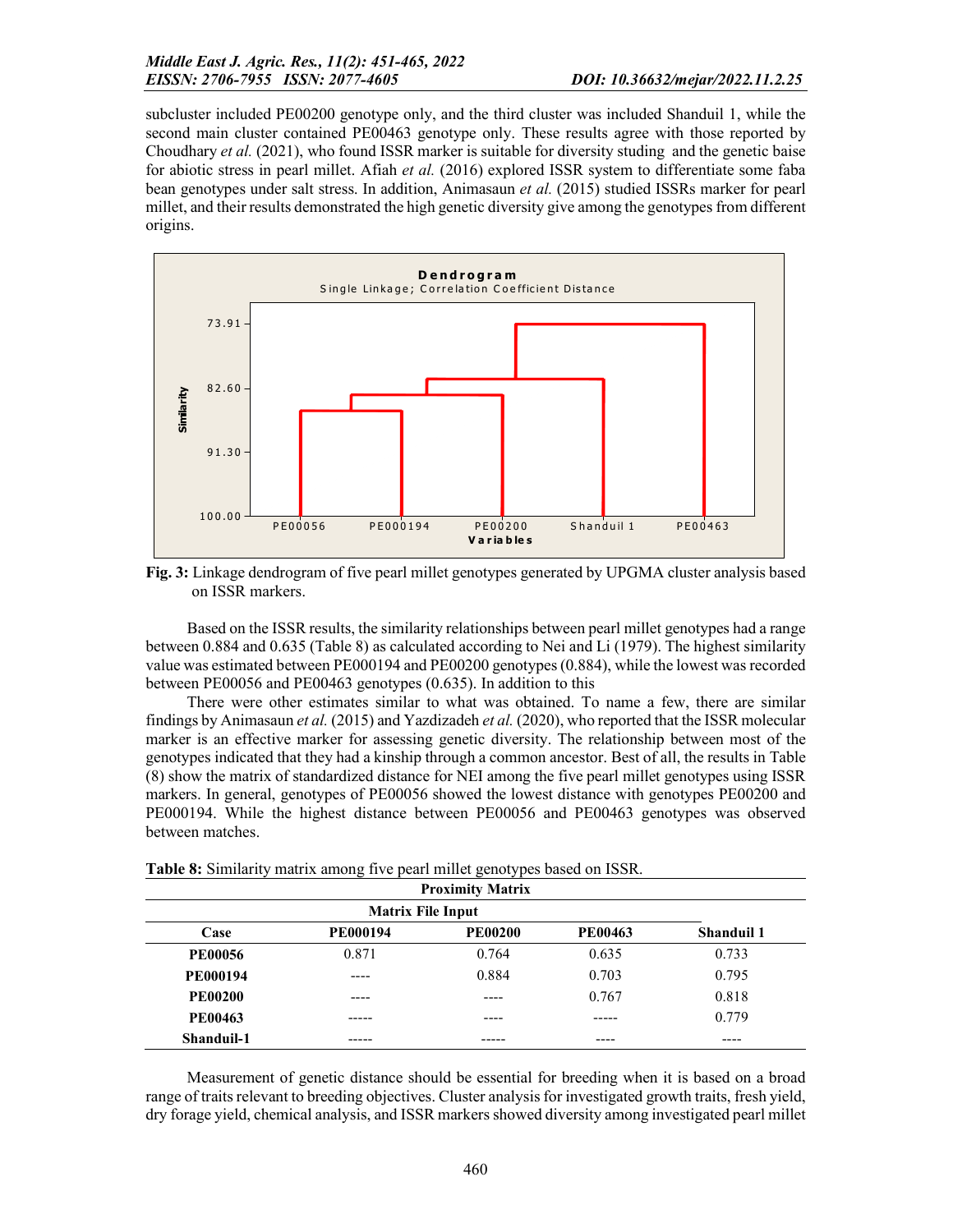subcluster included PE00200 genotype only, and the third cluster was included Shanduil 1, while the second main cluster contained PE00463 genotype only. These results agree with those reported by Choudhary *et al.* (2021), who found ISSR marker is suitable for diversity studing and the genetic baise for abiotic stress in pearl millet. Afiah *et al.* (2016) explored ISSR system to differentiate some faba bean genotypes under salt stress. In addition, Animasaun *et al.* (2015) studied ISSRs marker for pearl millet, and their results demonstrated the high genetic diversity give among the genotypes from different origins.



Fig. 3: Linkage dendrogram of five pearl millet genotypes generated by UPGMA cluster analysis based on ISSR markers.

Based on the ISSR results, the similarity relationships between pearl millet genotypes had a range between 0.884 and 0.635 (Table 8) as calculated according to Nei and Li (1979). The highest similarity value was estimated between PE000194 and PE00200 genotypes (0.884), while the lowest was recorded between PE00056 and PE00463 genotypes (0.635). In addition to this

There were other estimates similar to what was obtained. To name a few, there are similar findings by Animasaun *et al.* (2015) and Yazdizadeh *et al.* (2020), who reported that the ISSR molecular marker is an effective marker for assessing genetic diversity. The relationship between most of the genotypes indicated that they had a kinship through a common ancestor. Best of all, the results in Table (8) show the matrix of standardized distance for NEI among the five pearl millet genotypes using ISSR markers. In general, genotypes of PE00056 showed the lowest distance with genotypes PE00200 and PE000194. While the highest distance between PE00056 and PE00463 genotypes was observed between matches.

|                 | <b>Proximity Matrix</b> |                |                |                   |  |  |  |  |  |  |
|-----------------|-------------------------|----------------|----------------|-------------------|--|--|--|--|--|--|
|                 |                         |                |                |                   |  |  |  |  |  |  |
| Case            | <b>PE000194</b>         | <b>PE00200</b> | <b>PE00463</b> | <b>Shanduil 1</b> |  |  |  |  |  |  |
| <b>PE00056</b>  | 0.871                   | 0.764          | 0.635          | 0.733             |  |  |  |  |  |  |
| <b>PE000194</b> | ----                    | 0.884          | 0.703          | 0.795             |  |  |  |  |  |  |
| <b>PE00200</b>  | ----                    |                | 0.767          | 0.818             |  |  |  |  |  |  |
| <b>PE00463</b>  |                         |                |                | 0.779             |  |  |  |  |  |  |
| Shanduil-1      |                         |                | ----           | ----              |  |  |  |  |  |  |

Table 8: Similarity matrix among five pearl millet genotypes based on ISSR.

Measurement of genetic distance should be essential for breeding when it is based on a broad range of traits relevant to breeding objectives. Cluster analysis for investigated growth traits, fresh yield, dry forage yield, chemical analysis, and ISSR markers showed diversity among investigated pearl millet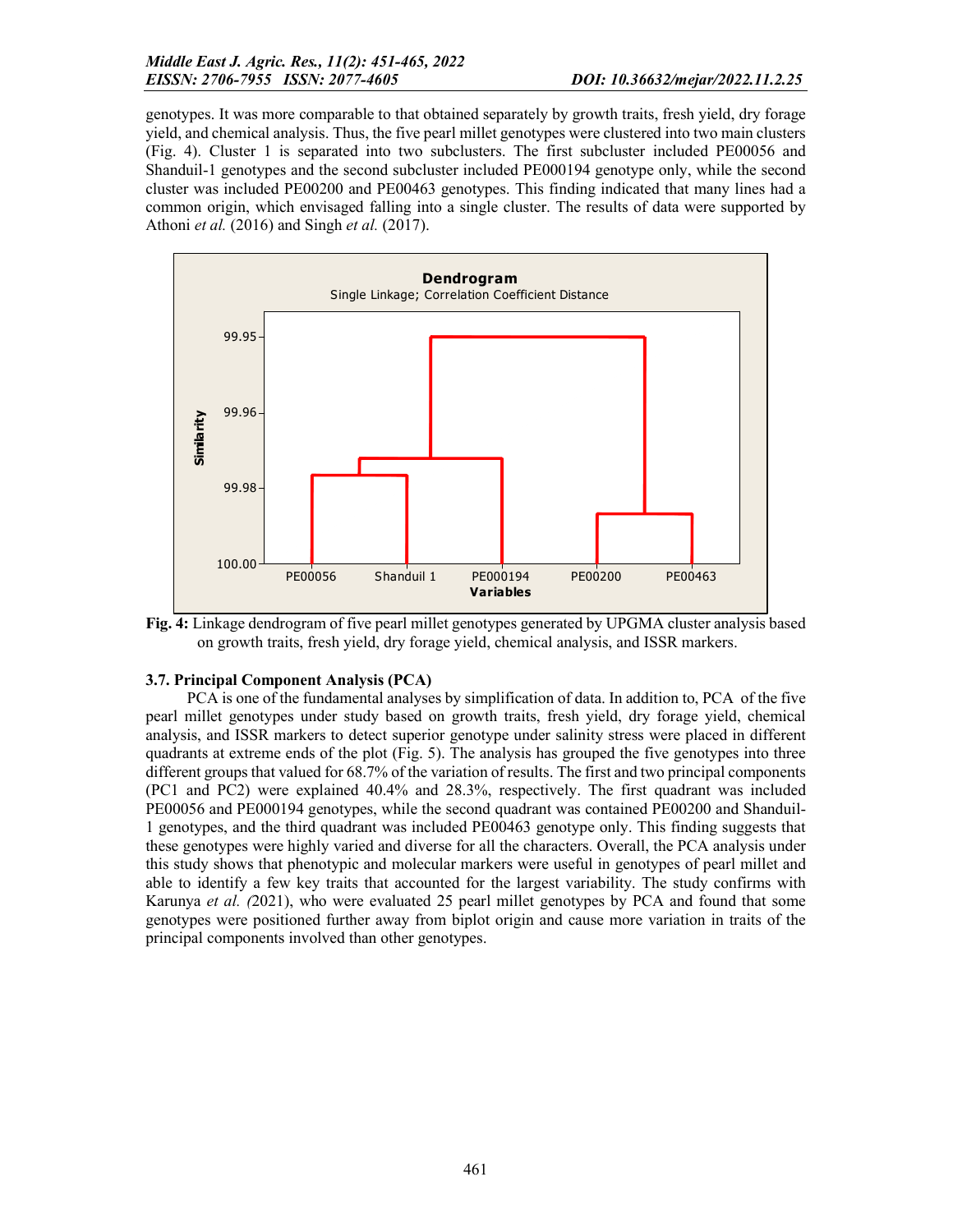genotypes. It was more comparable to that obtained separately by growth traits, fresh yield, dry forage yield, and chemical analysis. Thus, the five pearl millet genotypes were clustered into two main clusters (Fig. 4). Cluster 1 is separated into two subclusters. The first subcluster included PE00056 and Shanduil-1 genotypes and the second subcluster included PE000194 genotype only, while the second cluster was included PE00200 and PE00463 genotypes. This finding indicated that many lines had a common origin, which envisaged falling into a single cluster. The results of data were supported by Athoni *et al.* (2016) and Singh *et al.* (2017).



Fig. 4: Linkage dendrogram of five pearl millet genotypes generated by UPGMA cluster analysis based on growth traits, fresh yield, dry forage yield, chemical analysis, and ISSR markers.

### 3.7. Principal Component Analysis (PCA)

PCA is one of the fundamental analyses by simplification of data. In addition to, PCA of the five pearl millet genotypes under study based on growth traits, fresh yield, dry forage yield, chemical analysis, and ISSR markers to detect superior genotype under salinity stress were placed in different quadrants at extreme ends of the plot (Fig. 5). The analysis has grouped the five genotypes into three different groups that valued for 68.7% of the variation of results. The first and two principal components (PC1 and PC2) were explained 40.4% and 28.3%, respectively. The first quadrant was included PE00056 and PE000194 genotypes, while the second quadrant was contained PE00200 and Shanduil-1 genotypes, and the third quadrant was included PE00463 genotype only. This finding suggests that these genotypes were highly varied and diverse for all the characters. Overall, the PCA analysis under this study shows that phenotypic and molecular markers were useful in genotypes of pearl millet and able to identify a few key traits that accounted for the largest variability. The study confirms with Karunya *et al. (*2021), who were evaluated 25 pearl millet genotypes by PCA and found that some genotypes were positioned further away from biplot origin and cause more variation in traits of the principal components involved than other genotypes.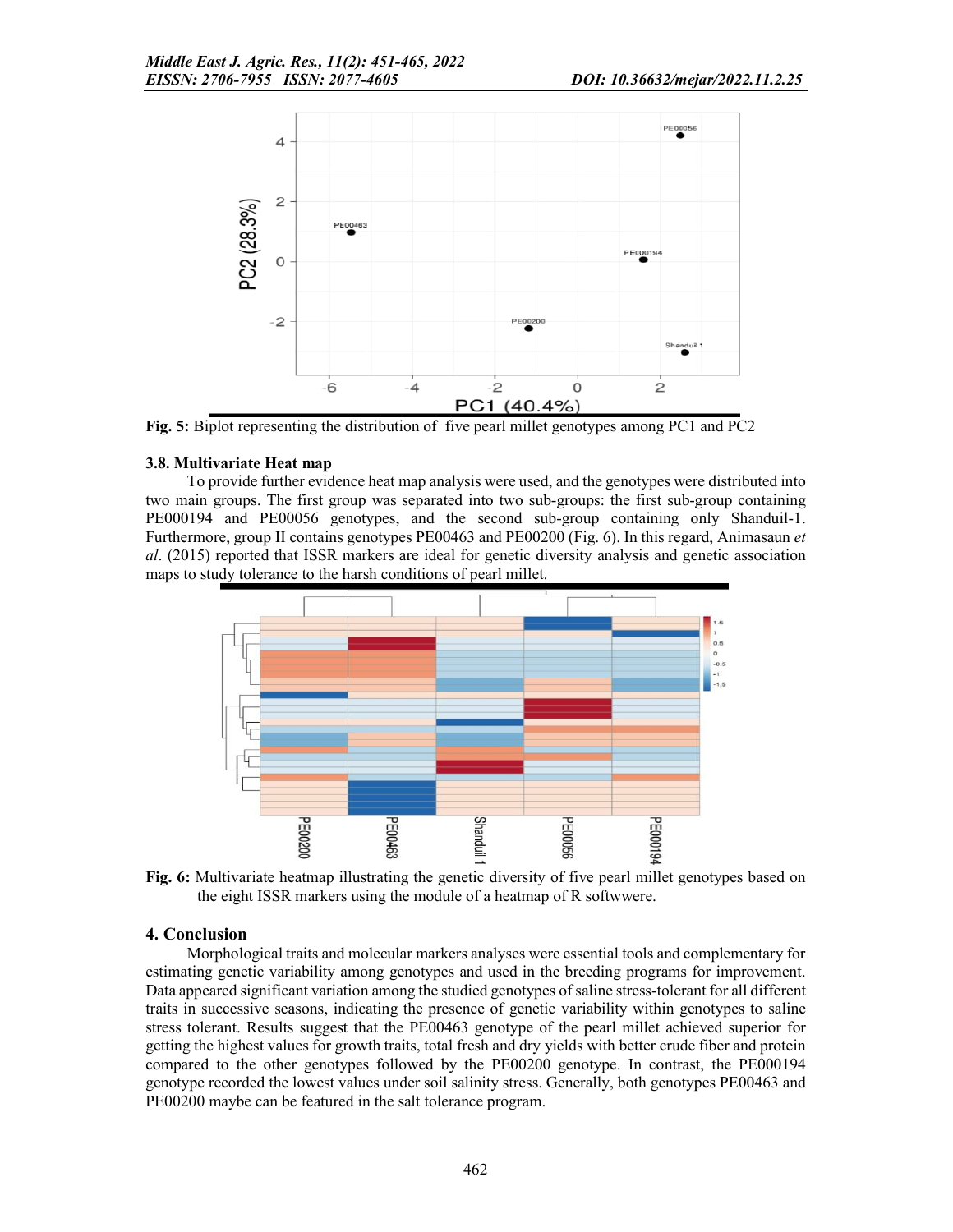

Fig. 5: Biplot representing the distribution of five pearl millet genotypes among PC1 and PC2

### 3.8. Multivariate Heat map

To provide further evidence heat map analysis were used, and the genotypes were distributed into two main groups. The first group was separated into two sub-groups: the first sub-group containing PE000194 and PE00056 genotypes, and the second sub-group containing only Shanduil-1. Furthermore, group II contains genotypes PE00463 and PE00200 (Fig. 6). In this regard, Animasaun *et al*. (2015) reported that ISSR markers are ideal for genetic diversity analysis and genetic association maps to study tolerance to the harsh conditions of pearl millet.



Fig. 6: Multivariate heatmap illustrating the genetic diversity of five pearl millet genotypes based on the eight ISSR markers using the module of a heatmap of R softwwere.

### 4. Conclusion

Morphological traits and molecular markers analyses were essential tools and complementary for estimating genetic variability among genotypes and used in the breeding programs for improvement. Data appeared significant variation among the studied genotypes of saline stress-tolerant for all different traits in successive seasons, indicating the presence of genetic variability within genotypes to saline stress tolerant. Results suggest that the PE00463 genotype of the pearl millet achieved superior for getting the highest values for growth traits, total fresh and dry yields with better crude fiber and protein compared to the other genotypes followed by the PE00200 genotype. In contrast, the PE000194 genotype recorded the lowest values under soil salinity stress. Generally, both genotypes PE00463 and PE00200 maybe can be featured in the salt tolerance program.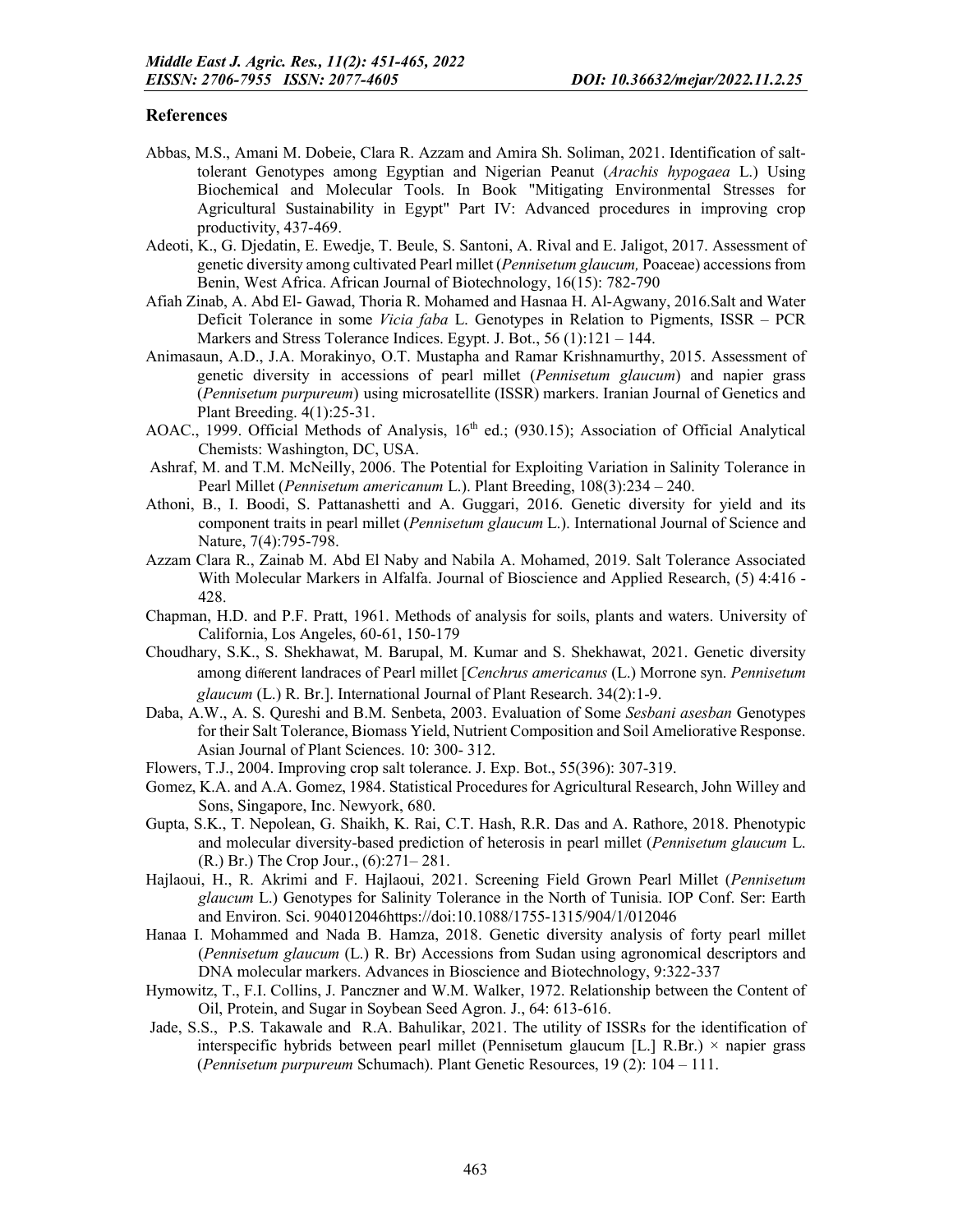### **References**

- Abbas, M.S., Amani M. Dobeie, Clara R. Azzam and Amira Sh. Soliman, 2021. Identification of salttolerant Genotypes among Egyptian and Nigerian Peanut (*Arachis hypogaea* L.) Using Biochemical and Molecular Tools. In Book "Mitigating Environmental Stresses for Agricultural Sustainability in Egypt" Part IV: Advanced procedures in improving crop productivity, 437-469.
- Adeoti, K., G. Djedatin, E. Ewedje, T. Beule, S. Santoni, A. Rival and E. Jaligot, 2017. Assessment of genetic diversity among cultivated Pearl millet (*Pennisetum glaucum,* Poaceae) accessions from Benin, West Africa. African Journal of Biotechnology, 16(15): 782-790
- Afiah Zinab, A. Abd El- Gawad, Thoria R. Mohamed and Hasnaa H. Al-Agwany, 2016.Salt and Water Deficit Tolerance in some *Vicia faba* L. Genotypes in Relation to Pigments, ISSR – PCR Markers and Stress Tolerance Indices. Egypt. J. Bot., 56 (1):121 – 144.
- Animasaun, A.D., J.A. Morakinyo, O.T. Mustapha and Ramar Krishnamurthy, 2015. Assessment of genetic diversity in accessions of pearl millet (*Pennisetum glaucum*) and napier grass (*Pennisetum purpureum*) using microsatellite (ISSR) markers. Iranian Journal of Genetics and Plant Breeding. 4(1):25-31.
- AOAC., 1999. Official Methods of Analysis, 16<sup>th</sup> ed.; (930.15); Association of Official Analytical Chemists: Washington, DC, USA.
- Ashraf, M. and T.M. McNeilly, 2006. The Potential for Exploiting Variation in Salinity Tolerance in Pearl Millet (*Pennisetum americanum* L.). Plant Breeding, 108(3):234 – 240.
- Athoni, B., I. Boodi, S. Pattanashetti and A. Guggari, 2016. Genetic diversity for yield and its component traits in pearl millet (*Pennisetum glaucum* L.). International Journal of Science and Nature, 7(4):795-798.
- Azzam Clara R., Zainab M. Abd El Naby and Nabila A. Mohamed, 2019. Salt Tolerance Associated With Molecular Markers in Alfalfa. Journal of Bioscience and Applied Research, (5) 4:416 - 428.
- Chapman, H.D. and P.F. Pratt, 1961. Methods of analysis for soils, plants and waters. University of California, Los Angeles, 60-61, 150-179
- Choudhary, S.K., S. Shekhawat, M. Barupal, M. Kumar and S. Shekhawat, 2021. Genetic diversity among different landraces of Pearl millet [*Cenchrus americanus* (L.) Morrone syn. *Pennisetum glaucum* (L.) R. Br.]. International Journal of Plant Research. 34(2):1-9.
- Daba, A.W., A. S. Qureshi and B.M. Senbeta, 2003. Evaluation of Some *Sesbani asesban* Genotypes for their Salt Tolerance, Biomass Yield, Nutrient Composition and Soil Ameliorative Response. Asian Journal of Plant Sciences. 10: 300- 312.
- Flowers, T.J., 2004. Improving crop salt tolerance. J. Exp. Bot., 55(396): 307-319.
- Gomez, K.A. and A.A. Gomez, 1984. Statistical Procedures for Agricultural Research, John Willey and Sons, Singapore, Inc. Newyork, 680.
- Gupta, S.K., T. Nepolean, G. Shaikh, K. Rai, C.T. Hash, R.R. Das and A. Rathore, 2018. Phenotypic and molecular diversity-based prediction of heterosis in pearl millet (*Pennisetum glaucum* L. (R.) Br.) The Crop Jour., (6):271– 281.
- Hajlaoui, H., R. Akrimi and F. Hajlaoui, 2021. Screening Field Grown Pearl Millet (*Pennisetum glaucum* L.) Genotypes for Salinity Tolerance in the North of Tunisia. IOP Conf. Ser: Earth and Environ. Sci. 904012046https://doi:10.1088/1755-1315/904/1/012046
- Hanaa I. Mohammed and Nada B. Hamza, 2018. Genetic diversity analysis of forty pearl millet (*Pennisetum glaucum* (L.) R. Br) Accessions from Sudan using agronomical descriptors and DNA molecular markers. Advances in Bioscience and Biotechnology, 9:322-337
- Hymowitz, T., F.I. Collins, J. Panczner and W.M. Walker, 1972. Relationship between the Content of Oil, Protein, and Sugar in Soybean Seed Agron. J., 64: 613-616.
- Jade, S.S., P.S. Takawale and R.A. Bahulikar, 2021. The utility of ISSRs for the identification of interspecific hybrids between pearl millet (Pennisetum glaucum [L.] R.Br.) × napier grass (*Pennisetum purpureum* Schumach). Plant Genetic Resources, 19 (2): 104 – 111.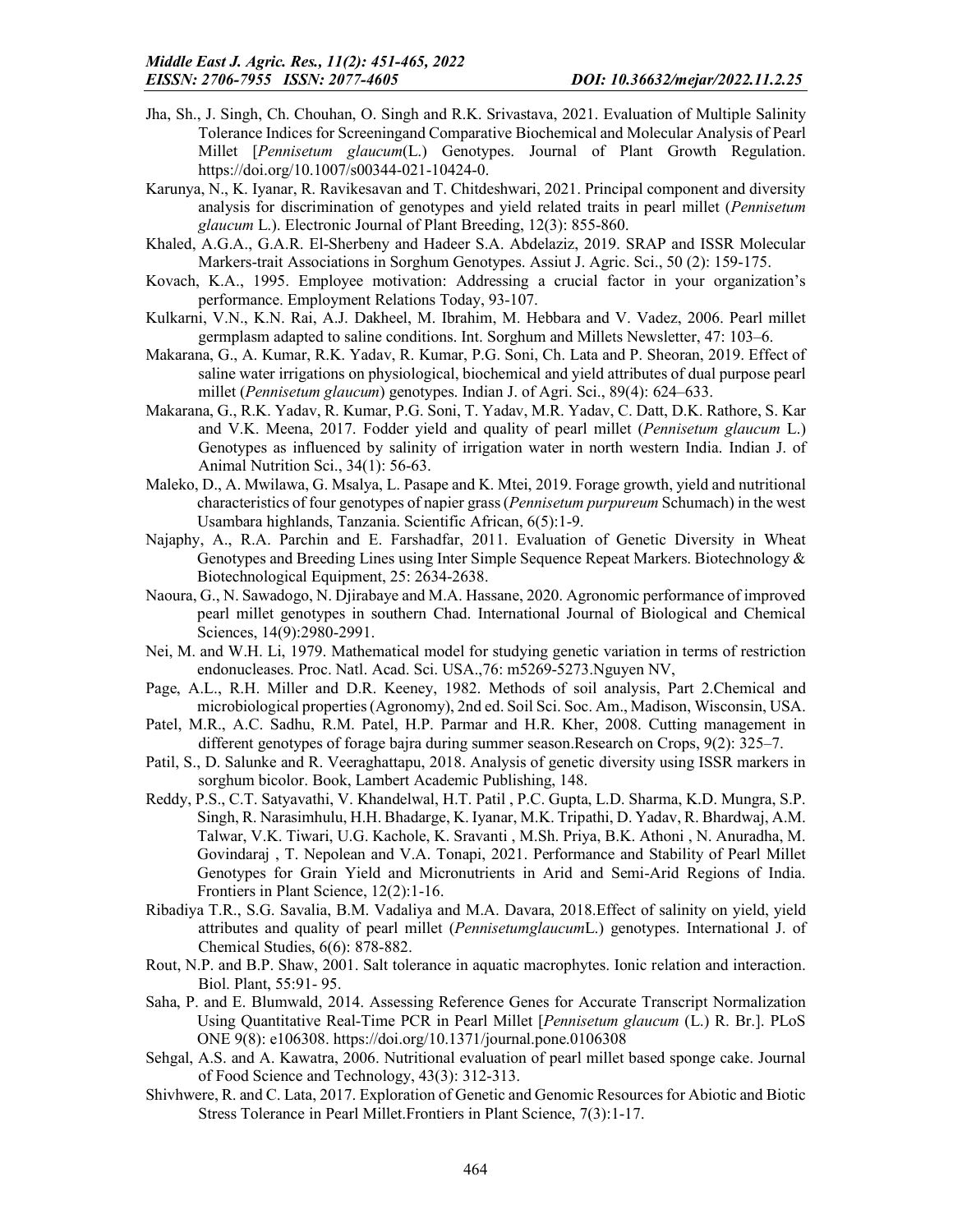- Jha, Sh., J. Singh, Ch. Chouhan, O. Singh and R.K. Srivastava, 2021. Evaluation of Multiple Salinity Tolerance Indices for Screeningand Comparative Biochemical and Molecular Analysis of Pearl Millet [*Pennisetum glaucum*(L.) Genotypes. Journal of Plant Growth Regulation. https://doi.org/10.1007/s00344-021-10424-0.
- Karunya, N., K. Iyanar, R. Ravikesavan and T. Chitdeshwari, 2021. Principal component and diversity analysis for discrimination of genotypes and yield related traits in pearl millet (*Pennisetum glaucum* L.). Electronic Journal of Plant Breeding, 12(3): 855-860.
- Khaled, A.G.A., G.A.R. El-Sherbeny and Hadeer S.A. Abdelaziz, 2019. SRAP and ISSR Molecular Markers-trait Associations in Sorghum Genotypes. Assiut J. Agric. Sci., 50 (2): 159-175.
- Kovach, K.A., 1995. Employee motivation: Addressing a crucial factor in your organization's performance. Employment Relations Today, 93-107.
- Kulkarni, V.N., K.N. Rai, A.J. Dakheel, M. Ibrahim, M. Hebbara and V. Vadez, 2006. Pearl millet germplasm adapted to saline conditions. Int. Sorghum and Millets Newsletter, 47: 103–6.
- Makarana, G., A. Kumar, R.K. Yadav, R. Kumar, P.G. Soni, Ch. Lata and P. Sheoran, 2019. Effect of saline water irrigations on physiological, biochemical and yield attributes of dual purpose pearl millet (*Pennisetum glaucum*) genotypes. Indian J. of Agri. Sci., 89(4): 624–633.
- Makarana, G., R.K. Yadav, R. Kumar, P.G. Soni, T. Yadav, M.R. Yadav, C. Datt, D.K. Rathore, S. Kar and V.K. Meena, 2017. Fodder yield and quality of pearl millet (*Pennisetum glaucum* L.) Genotypes as influenced by salinity of irrigation water in north western India. Indian J. of Animal Nutrition Sci., 34(1): 56-63.
- Maleko, D., A. Mwilawa, G. Msalya, L. Pasape and K. Mtei, 2019. Forage growth, yield and nutritional characteristics of four genotypes of napier grass (*Pennisetum purpureum* Schumach) in the west Usambara highlands, Tanzania. Scientific African, 6(5):1-9.
- Najaphy, A., R.A. Parchin and E. Farshadfar, 2011. Evaluation of Genetic Diversity in Wheat Genotypes and Breeding Lines using Inter Simple Sequence Repeat Markers. Biotechnology & Biotechnological Equipment, 25: 2634-2638.
- Naoura, G., N. Sawadogo, N. Djirabaye and M.A. Hassane, 2020. Agronomic performance of improved pearl millet genotypes in southern Chad. International Journal of Biological and Chemical Sciences, 14(9):2980-2991.
- Nei, M. and W.H. Li, 1979. Mathematical model for studying genetic variation in terms of restriction endonucleases. Proc. Natl. Acad. Sci. USA.,76: m5269-5273.Nguyen NV,
- Page, A.L., R.H. Miller and D.R. Keeney, 1982. Methods of soil analysis, Part 2.Chemical and microbiological properties (Agronomy), 2nd ed. Soil Sci. Soc. Am., Madison, Wisconsin, USA.
- Patel, M.R., A.C. Sadhu, R.M. Patel, H.P. Parmar and H.R. Kher, 2008. Cutting management in different genotypes of forage bajra during summer season.Research on Crops, 9(2): 325–7.
- Patil, S., D. Salunke and R. Veeraghattapu, 2018. Analysis of genetic diversity using ISSR markers in sorghum bicolor. Book, Lambert Academic Publishing, 148.
- Reddy, P.S., C.T. Satyavathi, V. Khandelwal, H.T. Patil , P.C. Gupta, L.D. Sharma, K.D. Mungra, S.P. Singh, R. Narasimhulu, H.H. Bhadarge, K. Iyanar, M.K. Tripathi, D. Yadav, R. Bhardwaj, A.M. Talwar, V.K. Tiwari, U.G. Kachole, K. Sravanti , M.Sh. Priya, B.K. Athoni , N. Anuradha, M. Govindaraj , T. Nepolean and V.A. Tonapi, 2021. Performance and Stability of Pearl Millet Genotypes for Grain Yield and Micronutrients in Arid and Semi-Arid Regions of India. Frontiers in Plant Science, 12(2):1-16.
- Ribadiya T.R., S.G. Savalia, B.M. Vadaliya and M.A. Davara, 2018.Effect of salinity on yield, yield attributes and quality of pearl millet (*Pennisetumglaucum*L.) genotypes. International J. of Chemical Studies, 6(6): 878-882.
- Rout, N.P. and B.P. Shaw, 2001. Salt tolerance in aquatic macrophytes. Ionic relation and interaction. Biol. Plant, 55:91- 95.
- Saha, P. and E. Blumwald, 2014. Assessing Reference Genes for Accurate Transcript Normalization Using Quantitative Real-Time PCR in Pearl Millet [*Pennisetum glaucum* (L.) R. Br.]. PLoS ONE 9(8): e106308. https://doi.org/10.1371/journal.pone.0106308
- Sehgal, A.S. and A. Kawatra, 2006. Nutritional evaluation of pearl millet based sponge cake. Journal of Food Science and Technology, 43(3): 312-313.
- Shivhwere, R. and C. Lata, 2017. Exploration of Genetic and Genomic Resources for Abiotic and Biotic Stress Tolerance in Pearl Millet.Frontiers in Plant Science, 7(3):1-17.